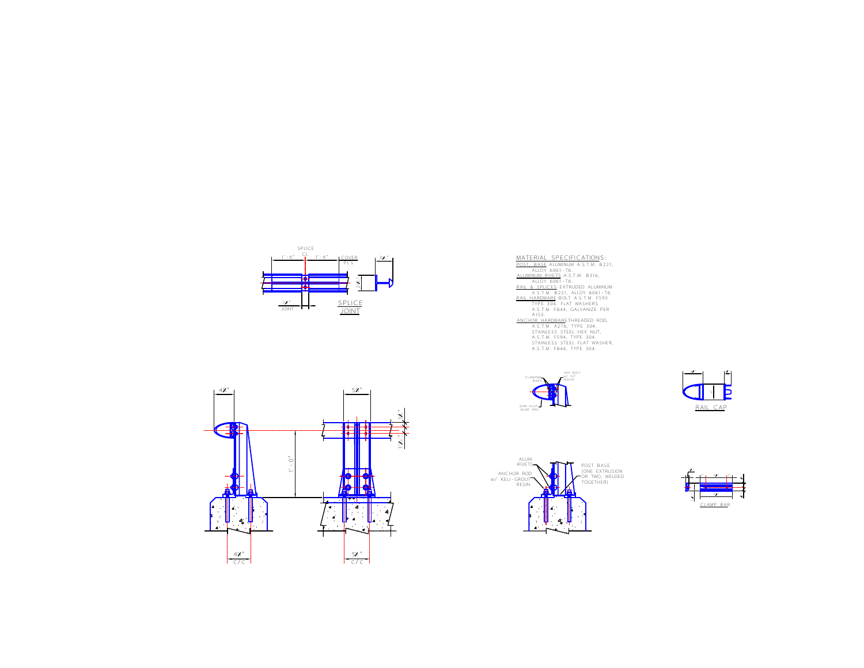

| MATERIAL SPECIFICATIONS:            |
|-------------------------------------|
| POST. BASE: ALUMINUM A.S.T.M. B221. |
| ALLOY 6061-T6                       |
| ALUMINUM RIVETS: A.S.T.M. B316,     |
| ALLOY 6061-T6                       |
| RAIL & SPLICES: EXTRUDED ALUMINUM   |
| A.S.T.M. B221. ALLOY 6061-T6.       |
| RAIL HARDWARE:BOLT A.S.T.M. F593    |
| TYPE 304. FLAT WASHERS              |
| A.S.T.M. F844. GALVANIZE PER        |
| A153                                |
| ANCHOR HARDWARETHREADED ROD.        |
| A.S.T.M. A276. TYPE 304.            |
| STAINLESS STEEL HEX NUT.            |
| A.S.T.M. F594. TYPE 304.            |
| STAINLESS STEEL FLAT WASHER.        |
| A.S.T.M. F844. TYPE 304.            |
|                                     |